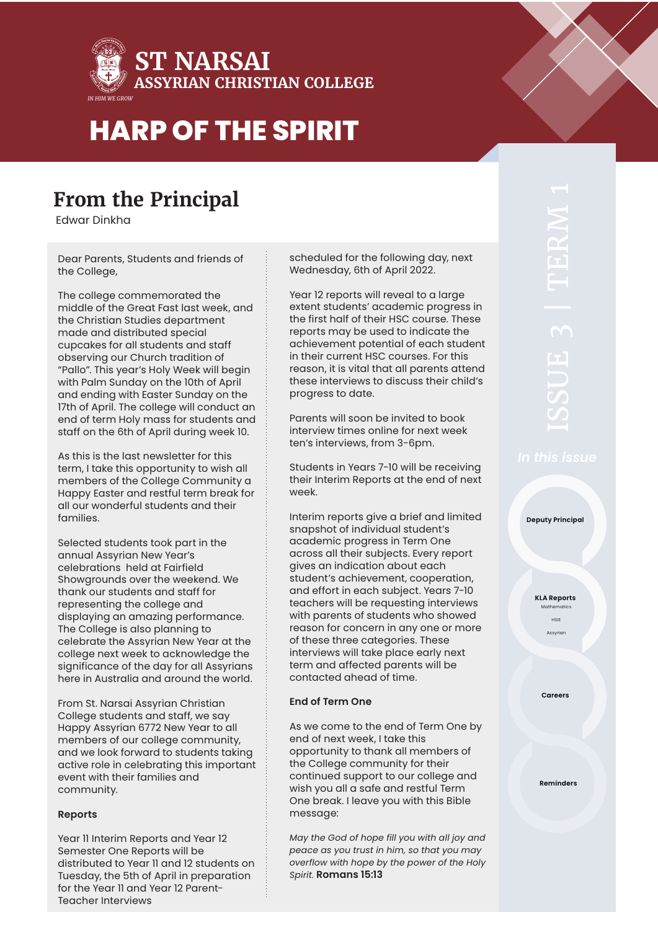

### **From the Principal**

Edwar Dinkha

Dear Parents, Students and friends of the College,

The college commemorated the middle of the Great Fast last week, and the Christian Studies department made and distributed special cupcakes for all students and staff observing our Church tradition of "Pallo". This year's Holy Week will begin with Palm Sunday on the 10th of April and ending with Easter Sunday on the 17th of April. The college will conduct an end of term Holy mass for students and staff on the 6th of April during week 10.

As this is the last newsletter for this term, I take this opportunity to wish all members of the College Community a Happy Easter and restful term break for all our wonderful students and their families.

Selected students took part in the annual Assyrian New Year's celebrations held at Fairfield Showgrounds over the weekend. We thank our students and staff for representing the college and displaying an amazing performance. The College is also planning to celebrate the Assyrian New Year at the college next week to acknowledge the significance of the day for all Assyrians here in Australia and around the world.

From St. Narsai Assyrian Christian College students and staff, we say Happy Assyrian 6772 New Year to all members of our college community, and we look forward to students taking active role in celebrating this important event with their families and community.

### **Reports**

Year 11 Interim Reports and Year 12 Semester One Reports will be distributed to Year 11 and 12 students on Tuesday, the 5th of April in preparation for the Year 11 and Year 12 Parent-Teacher Interviews

scheduled for the following day, next Wednesday, 6th of April 2022.

Year 12 reports will reveal to a large extent students' academic progress in the first half of their HSC course. These reports may be used to indicate the achievement potential of each student in their current HSC courses. For this reason, it is vital that all parents attend these interviews to discuss their child's progress to date.

Parents will soon be invited to book interview times online for next week ten's interviews, from 3-6pm.

Students in Years 7-10 will be receiving their Interim Reports at the end of next week.

Interim reports give a brief and limited snapshot of individual student's academic progress in Term One across all their subjects. Every report gives an indication about each student's achievement, cooperation, and effort in each subject. Years 7-10 teachers will be requesting interviews with parents of students who showed reason for concern in any one or more of these three categories. These interviews will take place early next term and affected parents will be contacted ahead of time.

### **End of Term One**

As we come to the end of Term One by end of next week, I take this opportunity to thank all members of the College community for their continued support to our college and wish you all a safe and restful Term One break. I leave you with this Bible message:

*May the God of hope fill you with all joy and peace as you trust in him, so that you may overflow with hope by the power of the Holy Spirit.* **Romans 15:13**

**Deputy Principal**

**KLA Reports** Mathematics

> HSIE Assyr

**Careers**

**Reminders**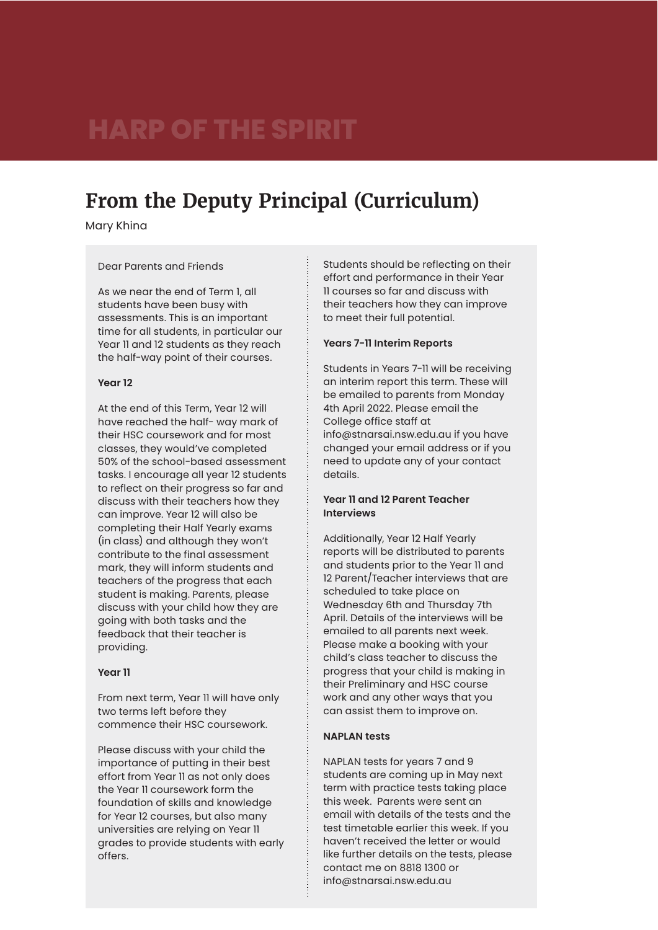### **From the Deputy Principal (Curriculum)**

Mary Khina

#### Dear Parents and Friends

As we near the end of Term 1, all students have been busy with assessments. This is an important time for all students, in particular our Year 11 and 12 students as they reach the half-way point of their courses.

### **Year 12**

At the end of this Term, Year 12 will have reached the half- way mark of their HSC coursework and for most classes, they would've completed 50% of the school-based assessment tasks. I encourage all year 12 students to reflect on their progress so far and discuss with their teachers how they can improve. Year 12 will also be completing their Half Yearly exams (in class) and although they won't contribute to the final assessment mark, they will inform students and teachers of the progress that each student is making. Parents, please discuss with your child how they are going with both tasks and the feedback that their teacher is providing.

#### **Year 11**

From next term, Year 11 will have only two terms left before they commence their HSC coursework.

Please discuss with your child the importance of putting in their best effort from Year 11 as not only does the Year 11 coursework form the foundation of skills and knowledge for Year 12 courses, but also many universities are relying on Year 11 grades to provide students with early offers.

Students should be reflecting on their effort and performance in their Year 11 courses so far and discuss with their teachers how they can improve to meet their full potential.

### **Years 7-11 Interim Reports**

Students in Years 7-11 will be receiving an interim report this term. These will be emailed to parents from Monday 4th April 2022. Please email the College office staff at info@stnarsai.nsw.edu.au if you have changed your email address or if you need to update any of your contact details.

### **Year 11 and 12 Parent Teacher Interviews**

Additionally, Year 12 Half Yearly reports will be distributed to parents and students prior to the Year 11 and 12 Parent/Teacher interviews that are scheduled to take place on Wednesday 6th and Thursday 7th April. Details of the interviews will be emailed to all parents next week. Please make a booking with your child's class teacher to discuss the progress that your child is making in their Preliminary and HSC course work and any other ways that you can assist them to improve on.

### **NAPLAN tests**

NAPLAN tests for years 7 and 9 students are coming up in May next term with practice tests taking place this week. Parents were sent an email with details of the tests and the test timetable earlier this week. If you haven't received the letter or would like further details on the tests, please contact me on 8818 1300 or info@stnarsai.nsw.edu.au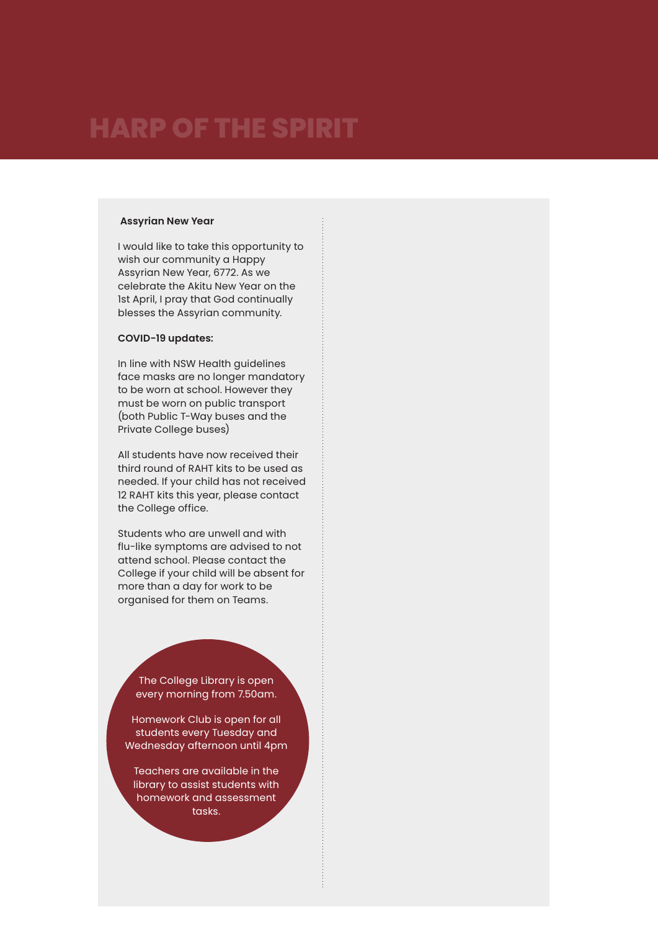#### **Assyrian New Year**

I would like to take this opportunity to wish our community a Happy Assyrian New Year, 6772. As we celebrate the Akitu New Year on the 1st April, I pray that God continually blesses the Assyrian community.

### **COVID-19 updates:**

In line with NSW Health guidelines face masks are no longer mandatory to be worn at school. However they must be worn on public transport (both Public T-Way buses and the Private College buses)

All students have now received their third round of RAHT kits to be used as needed. If your child has not received 12 RAHT kits this year, please contact the College office.

Students who are unwell and with flu-like symptoms are advised to not attend school. Please contact the College if your child will be absent for more than a day for work to be organised for them on Teams.

The College Library is open every morning from 7.50am.

Homework Club is open for all students every Tuesday and Wednesday afternoon until 4pm

Teachers are available in the library to assist students with homework and assessment tasks.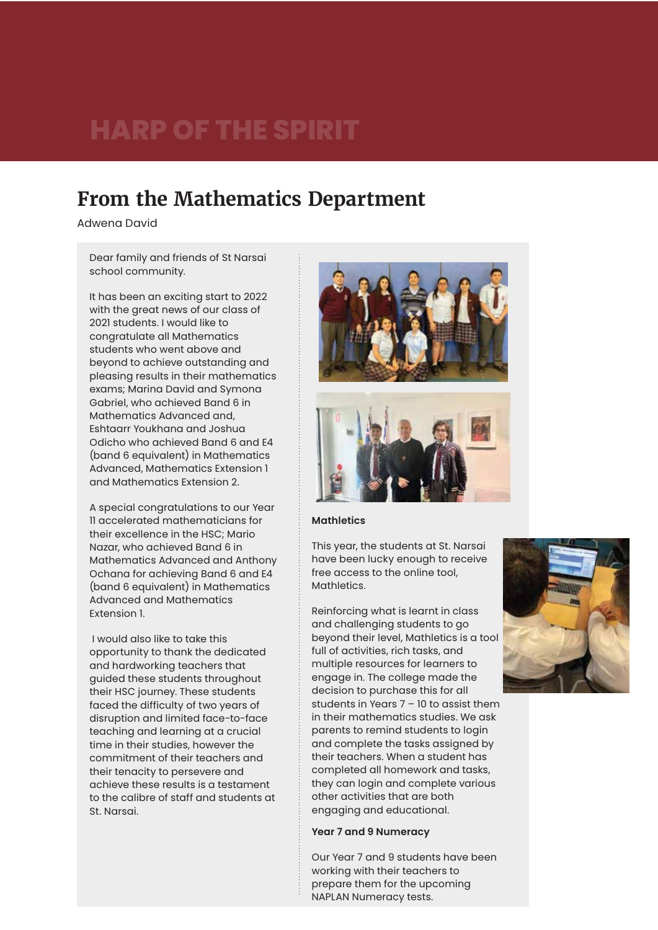### **From the Mathematics Department**

Adwena David

Dear family and friends of St Narsai school community.

It has been an exciting start to 2022 with the great news of our class of 2021 students. I would like to congratulate all Mathematics students who went above and beyond to achieve outstanding and pleasing results in their mathematics exams; Marina David and Symona Gabriel, who achieved Band 6 in Mathematics Advanced and, Eshtaarr Youkhana and Joshua Odicho who achieved Band 6 and E4 (band 6 equivalent) in Mathematics Advanced, Mathematics Extension 1 and Mathematics Extension 2.

A special congratulations to our Year 11 accelerated mathematicians for their excellence in the HSC; Mario Nazar, who achieved Band 6 in Mathematics Advanced and Anthony Ochana for achieving Band 6 and E4 (band 6 equivalent) in Mathematics Advanced and Mathematics Extension 1.

 I would also like to take this opportunity to thank the dedicated and hardworking teachers that guided these students throughout their HSC journey. These students faced the difficulty of two years of disruption and limited face-to-face teaching and learning at a crucial time in their studies, however the commitment of their teachers and their tenacity to persevere and achieve these results is a testament to the calibre of staff and students at St. Narsai.





#### **Mathletics**

This year, the students at St. Narsai have been lucky enough to receive free access to the online tool, Mathletics.

Reinforcing what is learnt in class and challenging students to go beyond their level, Mathletics is a tool full of activities, rich tasks, and multiple resources for learners to engage in. The college made the decision to purchase this for all students in Years 7 – 10 to assist them in their mathematics studies. We ask parents to remind students to login and complete the tasks assigned by their teachers. When a student has completed all homework and tasks, they can login and complete various other activities that are both engaging and educational.

### **Year 7 and 9 Numeracy**

Our Year 7 and 9 students have been working with their teachers to prepare them for the upcoming NAPLAN Numeracy tests.

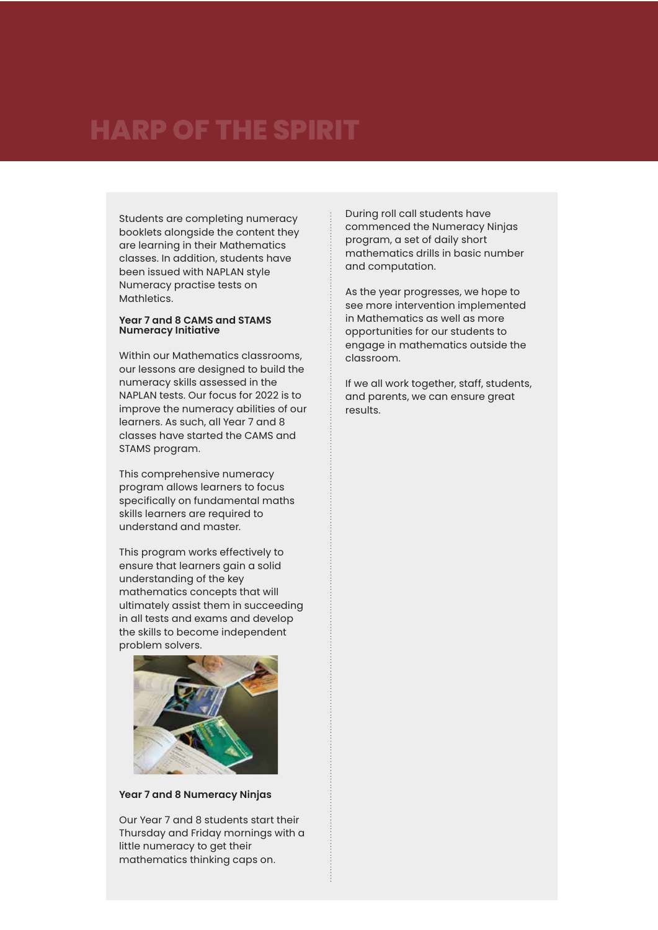Students are completing numeracy booklets alongside the content they are learning in their Mathematics classes. In addition, students have been issued with NAPLAN style Numeracy practise tests on Mathletics.

#### **Year 7 and 8 CAMS and STAMS Numeracy Initiative**

Within our Mathematics classrooms, our lessons are designed to build the numeracy skills assessed in the NAPLAN tests. Our focus for 2022 is to improve the numeracy abilities of our learners. As such, all Year 7 and 8 classes have started the CAMS and STAMS program.

This comprehensive numeracy program allows learners to focus specifically on fundamental maths skills learners are required to understand and master.

This program works effectively to ensure that learners gain a solid understanding of the key mathematics concepts that will ultimately assist them in succeeding in all tests and exams and develop the skills to become independent problem solvers.



**Year 7 and 8 Numeracy Ninjas**

Our Year 7 and 8 students start their Thursday and Friday mornings with a little numeracy to get their mathematics thinking caps on.

During roll call students have commenced the Numeracy Ninjas program, a set of daily short mathematics drills in basic number and computation.

As the year progresses, we hope to see more intervention implemented in Mathematics as well as more opportunities for our students to engage in mathematics outside the classroom.

If we all work together, staff, students, and parents, we can ensure great results.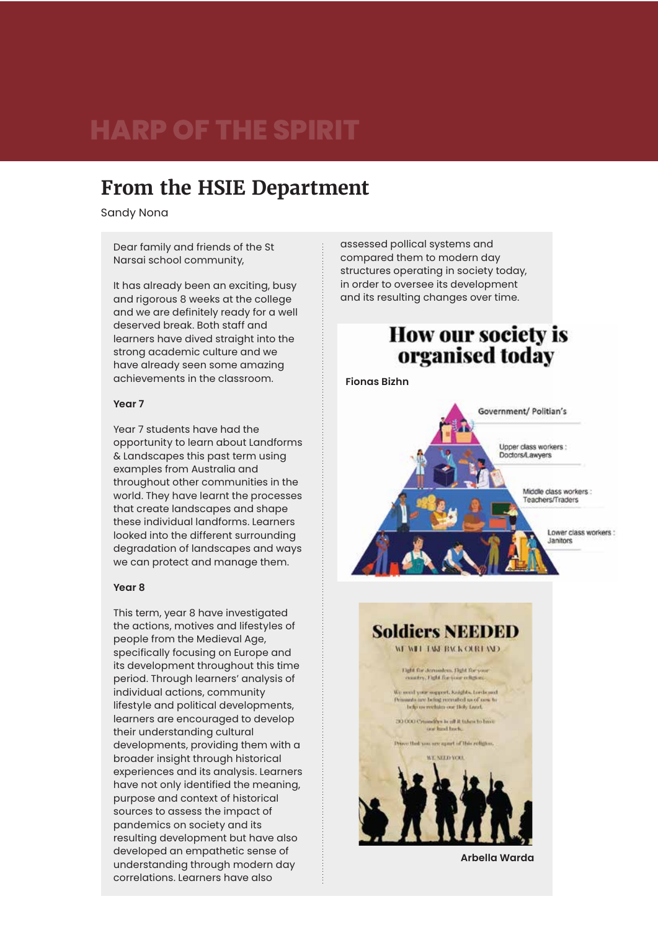### **From the HSIE Department**

Sandy Nona

Dear family and friends of the St Narsai school community,

It has already been an exciting, busy and rigorous 8 weeks at the college and we are definitely ready for a well deserved break. Both staff and learners have dived straight into the strong academic culture and we have already seen some amazing achievements in the classroom.

#### **Year 7**

Year 7 students have had the opportunity to learn about Landforms & Landscapes this past term using examples from Australia and throughout other communities in the world. They have learnt the processes that create landscapes and shape these individual landforms. Learners looked into the different surrounding degradation of landscapes and ways we can protect and manage them.

### **Year 8**

This term, year 8 have investigated the actions, motives and lifestyles of people from the Medieval Age, specifically focusing on Europe and its development throughout this time period. Through learners' analysis of individual actions, community lifestyle and political developments, learners are encouraged to develop their understanding cultural developments, providing them with a broader insight through historical experiences and its analysis. Learners have not only identified the meaning, purpose and context of historical sources to assess the impact of pandemics on society and its resulting development but have also developed an empathetic sense of understanding through modern day correlations. Learners have also

assessed pollical systems and compared them to modern day structures operating in society today, in order to oversee its development and its resulting changes over time.

### **How our society is** organised today

**Fionas Bizhn**



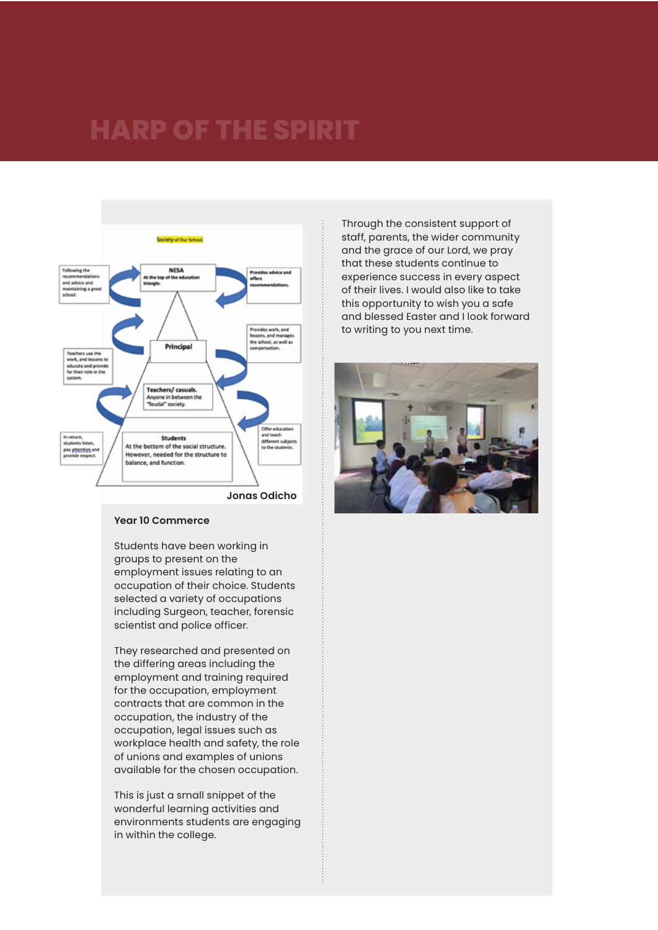

**Jonas Odicho**

#### **Year 10 Commerce**

Students have been working in groups to present on the employment issues relating to an occupation of their choice. Students selected a variety of occupations including Surgeon, teacher, forensic scientist and police officer.

They researched and presented on the differing areas including the employment and training required for the occupation, employment contracts that are common in the occupation, the industry of the occupation, legal issues such as workplace health and safety, the role of unions and examples of unions available for the chosen occupation.

This is just a small snippet of the wonderful learning activities and environments students are engaging in within the college.

Through the consistent support of staff, parents, the wider community and the grace of our Lord, we pray that these students continue to experience success in every aspect of their lives. I would also like to take this opportunity to wish you a safe and blessed Easter and I look forward to writing to you next time.

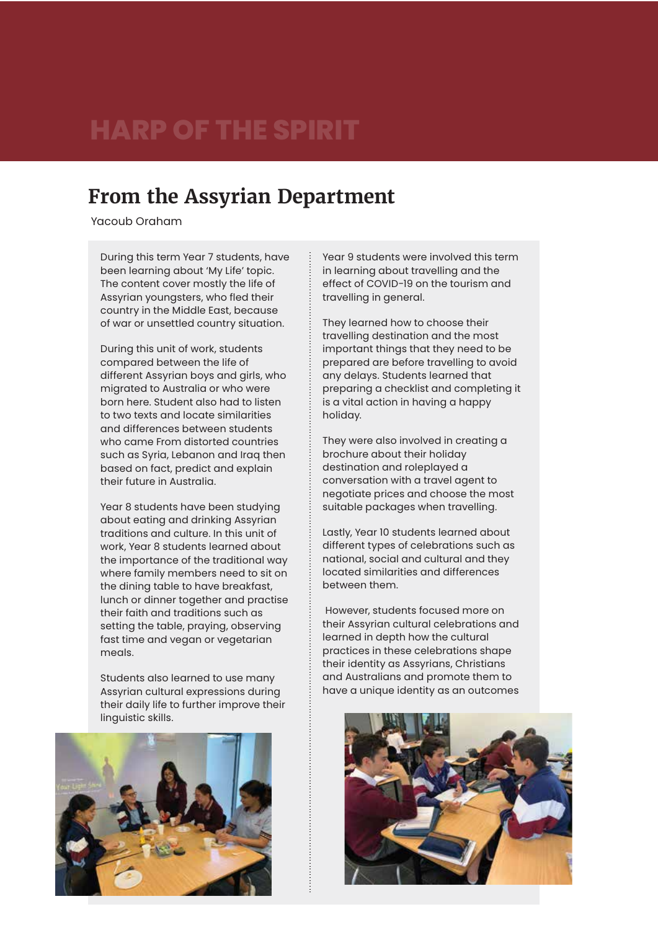### **From the Assyrian Department**

Yacoub Oraham

During this term Year 7 students, have been learning about 'My Life' topic. The content cover mostly the life of Assyrian youngsters, who fled their country in the Middle East, because of war or unsettled country situation.

During this unit of work, students compared between the life of different Assyrian boys and girls, who migrated to Australia or who were born here. Student also had to listen to two texts and locate similarities and differences between students who came From distorted countries such as Syria, Lebanon and Iraq then based on fact, predict and explain their future in Australia.

Year 8 students have been studying about eating and drinking Assyrian traditions and culture. In this unit of work, Year 8 students learned about the importance of the traditional way where family members need to sit on the dining table to have breakfast, lunch or dinner together and practise their faith and traditions such as setting the table, praying, observing fast time and vegan or vegetarian meals.

Students also learned to use many Assyrian cultural expressions during their daily life to further improve their linguistic skills.



Year 9 students were involved this term in learning about travelling and the effect of COVID-19 on the tourism and travelling in general.

They learned how to choose their travelling destination and the most important things that they need to be prepared are before travelling to avoid any delays. Students learned that preparing a checklist and completing it is a vital action in having a happy holiday.

They were also involved in creating a brochure about their holiday destination and roleplayed a conversation with a travel agent to negotiate prices and choose the most suitable packages when travelling.

Lastly, Year 10 students learned about different types of celebrations such as national, social and cultural and they located similarities and differences between them.

However, students focused more on their Assyrian cultural celebrations and learned in depth how the cultural practices in these celebrations shape their identity as Assyrians, Christians and Australians and promote them to have a unique identity as an outcomes

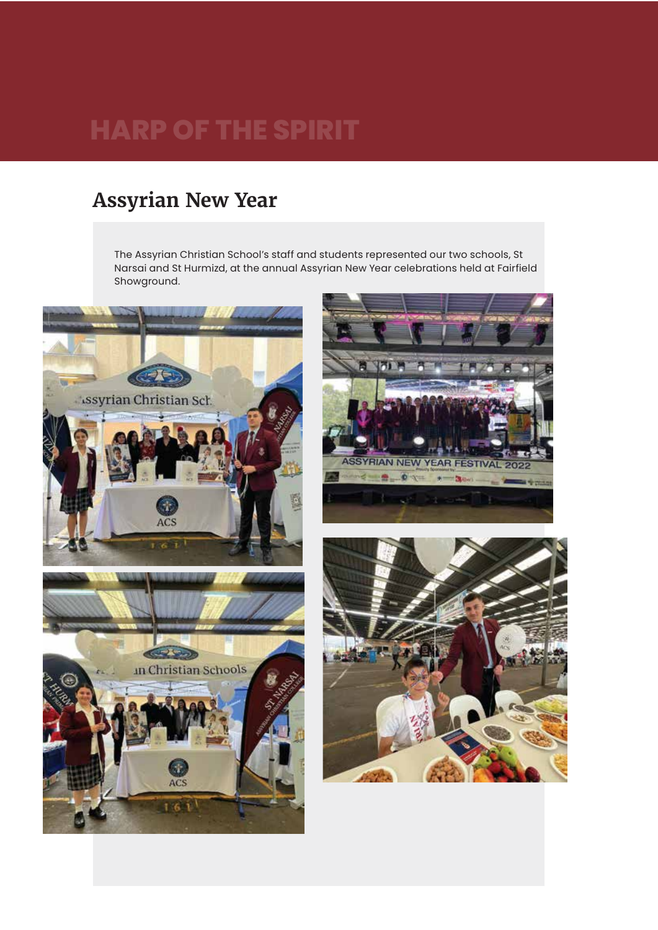### **Assyrian New Year**

The Assyrian Christian School's staff and students represented our two schools, St Narsai and St Hurmizd, at the annual Assyrian New Year celebrations held at Fairfield Showground.





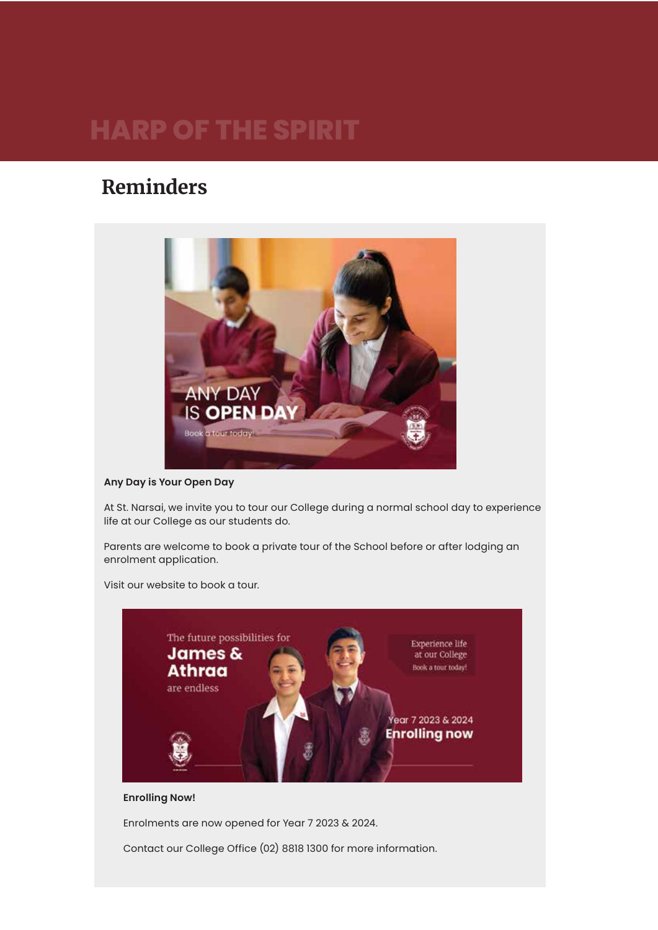### **Reminders**



**Any Day is Your Open Day**

At St. Narsai, we invite you to tour our College during a normal school day to experience life at our College as our students do.

Parents are welcome to book a private tour of the School before or after lodging an enrolment application.

Visit our website to book a tour.



### **Enrolling Now!**

Enrolments are now opened for Year 7 2023 & 2024.

Contact our College Office (02) 8818 1300 for more information.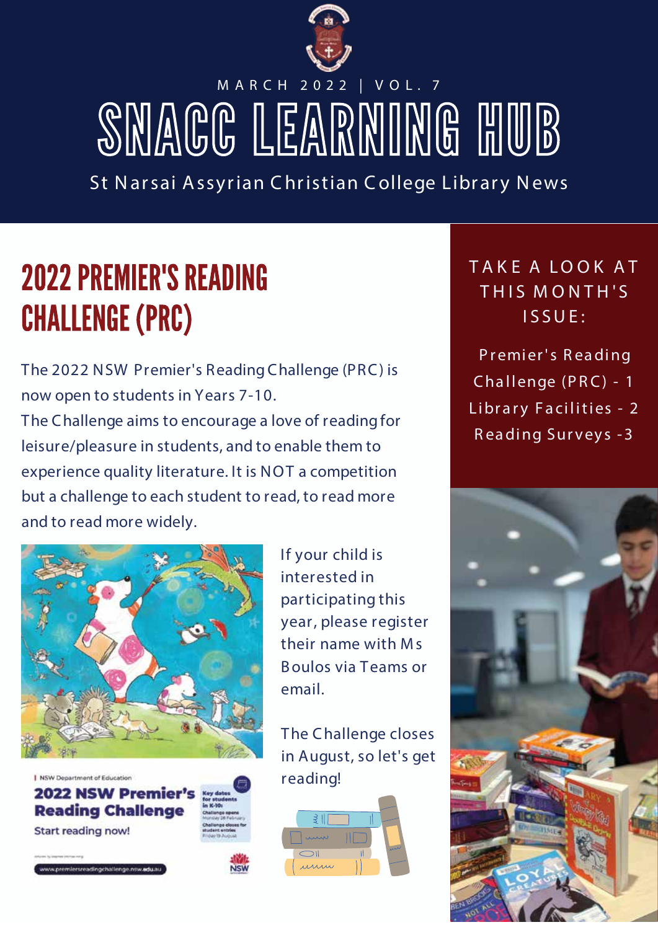

# M A R C H 2 0 2 2 | V O L . 7 SMAGG LEARNING HUB

St Narsai Assyrian Christian College Library News

# **2022 PREMIER'S READING CHALLENGE (PRC)**

The 2022 NSW Premier's ReadingChallenge (PRC) is now open to students in Years 7-10.

The Challenge aims to encourage a love of reading for leisure/pleasure in students, and to enable them to experience quality literature. It is NOT a competition but a challenge to each student to read, to read more and to read more widely.



| NSW Department of Education **2022 NSW Premier's Reading Challenge Start reading now!** 

If your child is interested in participating this year, please register their name with Ms Boulos via Teams or email.

The Challenge closes in August, so let's get reading!



**T A K E A LO O K A T T H I S M O N T H ' S I S SU E :**

*P r emier's R eading Cha llenge (P R C) - 1 Libr a r y F a ci lities - 2 R eading Sur vey s -3*

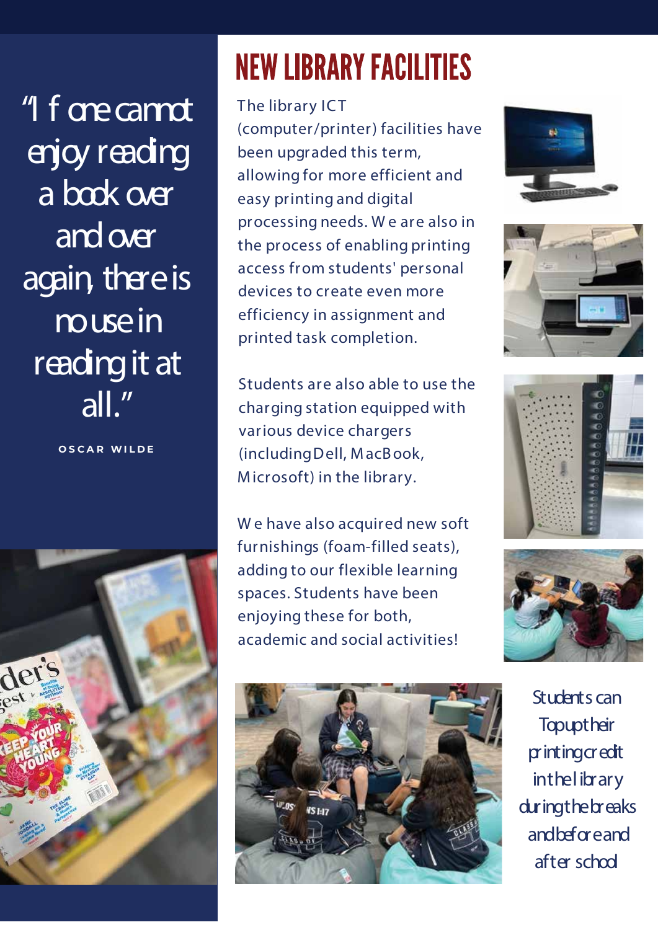"I f are cannot enjoy reading a book over and over again, there is muse in reading it at all."

**O S C A R WI L D E**



# **NEW LIBRARY FACILITIES**

The library ICT (computer/printer) facilities have been upgraded this term, allowing for more efficient and easy printing and digital processing needs. W e are also in the process of enabling printing access from students' personal devices to create even more efficiency in assignment and printed task completion.

Students are also able to use the charging station equipped with various device chargers (includingDell, MacBook, Microsoft) in the library.

W e have also acquired new soft furnishings (foam-filled seats), adding to our flexible learning spaces. Students have been enjoying these for both, academic and social activities!











Students can **Topuptheir** printingcredit inthelibrary duringthebreaks andbeforeand after school